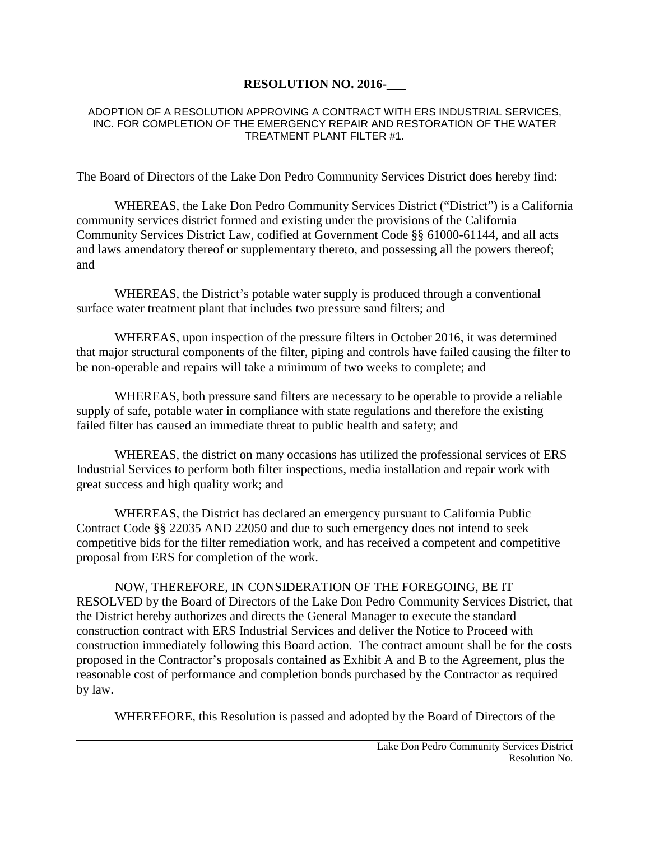## **RESOLUTION NO. 2016-\_\_\_**

## ADOPTION OF A RESOLUTION APPROVING A CONTRACT WITH ERS INDUSTRIAL SERVICES, INC. FOR COMPLETION OF THE EMERGENCY REPAIR AND RESTORATION OF THE WATER TREATMENT PLANT FILTER #1.

The Board of Directors of the Lake Don Pedro Community Services District does hereby find:

WHEREAS, the Lake Don Pedro Community Services District ("District") is a California community services district formed and existing under the provisions of the California Community Services District Law, codified at Government Code §§ 61000-61144, and all acts and laws amendatory thereof or supplementary thereto, and possessing all the powers thereof; and

WHEREAS, the District's potable water supply is produced through a conventional surface water treatment plant that includes two pressure sand filters; and

WHEREAS, upon inspection of the pressure filters in October 2016, it was determined that major structural components of the filter, piping and controls have failed causing the filter to be non-operable and repairs will take a minimum of two weeks to complete; and

WHEREAS, both pressure sand filters are necessary to be operable to provide a reliable supply of safe, potable water in compliance with state regulations and therefore the existing failed filter has caused an immediate threat to public health and safety; and

WHEREAS, the district on many occasions has utilized the professional services of ERS Industrial Services to perform both filter inspections, media installation and repair work with great success and high quality work; and

WHEREAS, the District has declared an emergency pursuant to California Public Contract Code §§ 22035 AND 22050 and due to such emergency does not intend to seek competitive bids for the filter remediation work, and has received a competent and competitive proposal from ERS for completion of the work.

NOW, THEREFORE, IN CONSIDERATION OF THE FOREGOING, BE IT RESOLVED by the Board of Directors of the Lake Don Pedro Community Services District, that the District hereby authorizes and directs the General Manager to execute the standard construction contract with ERS Industrial Services and deliver the Notice to Proceed with construction immediately following this Board action. The contract amount shall be for the costs proposed in the Contractor's proposals contained as Exhibit A and B to the Agreement, plus the reasonable cost of performance and completion bonds purchased by the Contractor as required by law.

WHEREFORE, this Resolution is passed and adopted by the Board of Directors of the